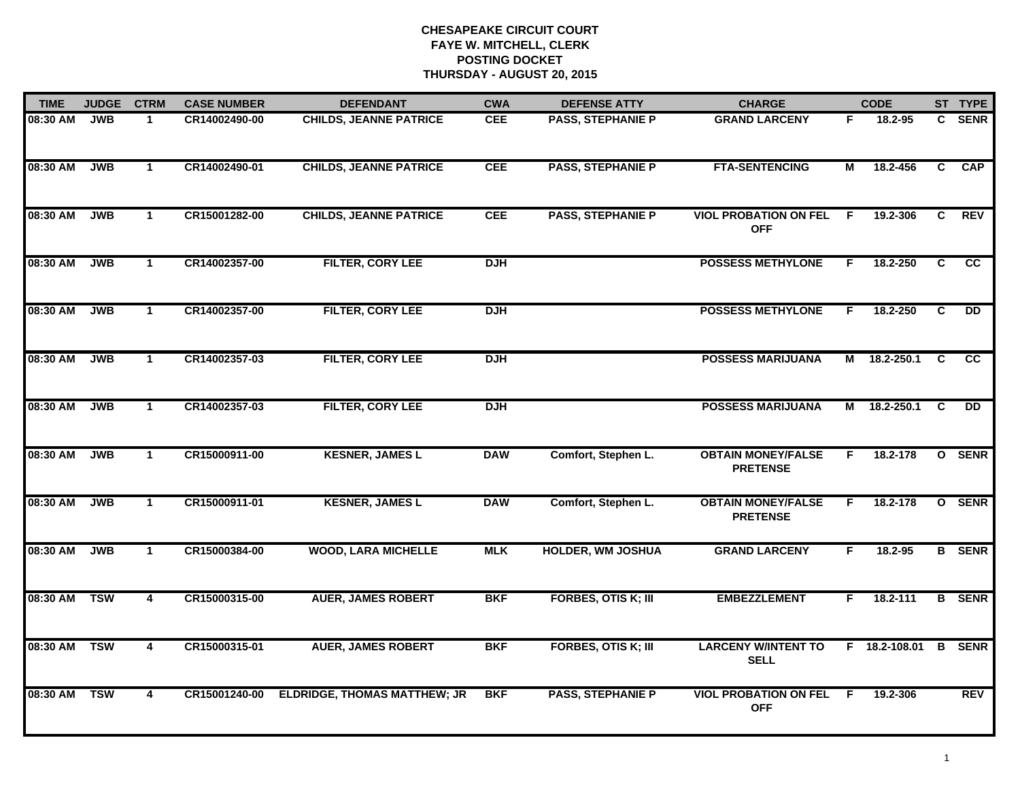| <b>TIME</b> | <b>JUDGE</b> | <b>CTRM</b>             | <b>CASE NUMBER</b> | <b>DEFENDANT</b>                    | <b>CWA</b> | <b>DEFENSE ATTY</b>        | <b>CHARGE</b>                                |    | <b>CODE</b>     |          | ST TYPE       |
|-------------|--------------|-------------------------|--------------------|-------------------------------------|------------|----------------------------|----------------------------------------------|----|-----------------|----------|---------------|
| 08:30 AM    | JWB          | $\mathbf 1$             | CR14002490-00      | <b>CHILDS, JEANNE PATRICE</b>       | <b>CEE</b> | <b>PASS, STEPHANIE P</b>   | <b>GRAND LARCENY</b>                         | F. | 18.2-95         | C.       | <b>SENR</b>   |
| 08:30 AM    | JWB          | $\mathbf{1}$            | CR14002490-01      | <b>CHILDS, JEANNE PATRICE</b>       | <b>CEE</b> | <b>PASS, STEPHANIE P</b>   | <b>FTA-SENTENCING</b>                        | М  | 18.2-456        | C        | <b>CAP</b>    |
| 08:30 AM    | <b>JWB</b>   | $\mathbf 1$             | CR15001282-00      | <b>CHILDS, JEANNE PATRICE</b>       | <b>CEE</b> | <b>PASS, STEPHANIE P</b>   | <b>VIOL PROBATION ON FEL</b><br><b>OFF</b>   | F  | 19.2-306        | C        | <b>REV</b>    |
| 08:30 AM    | <b>JWB</b>   | $\mathbf 1$             | CR14002357-00      | FILTER, CORY LEE                    | <b>DJH</b> |                            | <b>POSSESS METHYLONE</b>                     | F. | 18.2-250        | C        | <b>CC</b>     |
| 08:30 AM    | <b>JWB</b>   | $\mathbf 1$             | CR14002357-00      | FILTER, CORY LEE                    | <b>DJH</b> |                            | <b>POSSESS METHYLONE</b>                     | F. | 18.2-250        | C        | <b>DD</b>     |
| 08:30 AM    | <b>JWB</b>   | $\mathbf 1$             | CR14002357-03      | FILTER, CORY LEE                    | <b>DJH</b> |                            | <b>POSSESS MARIJUANA</b>                     |    | M 18.2-250.1    | <b>C</b> | <b>CC</b>     |
| 08:30 AM    | <b>JWB</b>   | $\mathbf{1}$            | CR14002357-03      | FILTER, CORY LEE                    | <b>DJH</b> |                            | <b>POSSESS MARIJUANA</b>                     | М  | 18.2-250.1      | C        | <b>DD</b>     |
| 08:30 AM    | <b>JWB</b>   | $\mathbf{1}$            | CR15000911-00      | <b>KESNER, JAMES L</b>              | <b>DAW</b> | Comfort, Stephen L.        | <b>OBTAIN MONEY/FALSE</b><br><b>PRETENSE</b> | F. | 18.2-178        |          | O SENR        |
| 08:30 AM    | <b>JWB</b>   | $\mathbf{1}$            | CR15000911-01      | <b>KESNER, JAMES L</b>              | <b>DAW</b> | Comfort, Stephen L.        | <b>OBTAIN MONEY/FALSE</b><br><b>PRETENSE</b> | F  | 18.2-178        |          | O SENR        |
| 08:30 AM    | <b>JWB</b>   | $\mathbf{1}$            | CR15000384-00      | <b>WOOD, LARA MICHELLE</b>          | <b>MLK</b> | <b>HOLDER, WM JOSHUA</b>   | <b>GRAND LARCENY</b>                         | F. | $18.2 - 95$     |          | <b>B</b> SENR |
| 08:30 AM    | <b>TSW</b>   | 4                       | CR15000315-00      | <b>AUER, JAMES ROBERT</b>           | <b>BKF</b> | <b>FORBES, OTIS K; III</b> | <b>EMBEZZLEMENT</b>                          | F. | $18.2 - 111$    |          | <b>B</b> SENR |
| 08:30 AM    | <b>TSW</b>   | $\overline{\mathbf{4}}$ | CR15000315-01      | <b>AUER, JAMES ROBERT</b>           | <b>BKF</b> | <b>FORBES, OTIS K; III</b> | <b>LARCENY W/INTENT TO</b><br><b>SELL</b>    |    | $F$ 18.2-108.01 |          | <b>B</b> SENR |
| 08:30 AM    | <b>TSW</b>   | 4                       | CR15001240-00      | <b>ELDRIDGE, THOMAS MATTHEW; JR</b> | <b>BKF</b> | <b>PASS, STEPHANIE P</b>   | <b>VIOL PROBATION ON FEL</b><br><b>OFF</b>   | F. | 19.2-306        |          | <b>REV</b>    |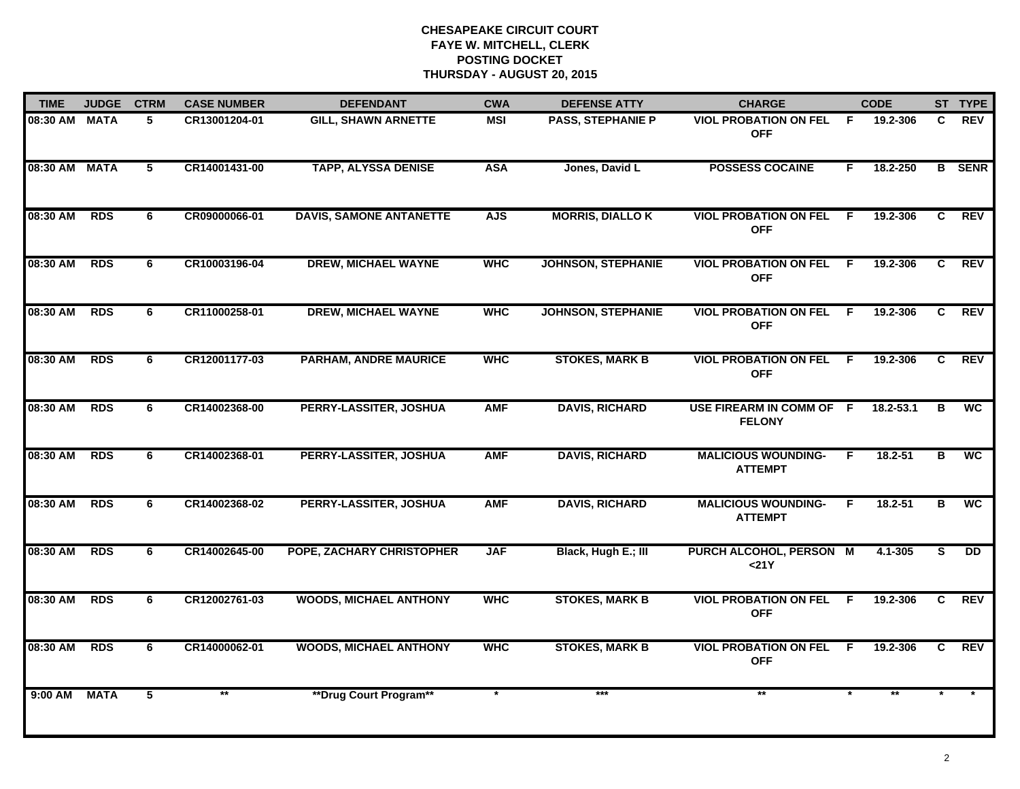| <b>TIME</b>   | <b>JUDGE</b> | <b>CTRM</b>     | <b>CASE NUMBER</b> | <b>DEFENDANT</b>               | <b>CWA</b> | <b>DEFENSE ATTY</b>       | <b>CHARGE</b>                                |     | <b>CODE</b> |                | ST TYPE       |
|---------------|--------------|-----------------|--------------------|--------------------------------|------------|---------------------------|----------------------------------------------|-----|-------------|----------------|---------------|
| 08:30 AM MATA |              | 5               | CR13001204-01      | <b>GILL, SHAWN ARNETTE</b>     | <b>MSI</b> | <b>PASS, STEPHANIE P</b>  | <b>VIOL PROBATION ON FEL</b><br><b>OFF</b>   | F.  | 19.2-306    | C              | <b>REV</b>    |
| 08:30 AM MATA |              | $5\phantom{.0}$ | CR14001431-00      | <b>TAPP, ALYSSA DENISE</b>     | <b>ASA</b> | Jones, David L            | <b>POSSESS COCAINE</b>                       | F.  | 18.2-250    |                | <b>B</b> SENR |
| 08:30 AM      | <b>RDS</b>   | 6               | CR09000066-01      | <b>DAVIS, SAMONE ANTANETTE</b> | <b>AJS</b> | <b>MORRIS, DIALLO K</b>   | <b>VIOL PROBATION ON FEL</b><br><b>OFF</b>   | F.  | 19.2-306    | $\overline{c}$ | <b>REV</b>    |
| 08:30 AM      | <b>RDS</b>   | 6               | CR10003196-04      | <b>DREW, MICHAEL WAYNE</b>     | <b>WHC</b> | <b>JOHNSON, STEPHANIE</b> | <b>VIOL PROBATION ON FEL</b><br><b>OFF</b>   | F.  | 19.2-306    | C              | <b>REV</b>    |
| 08:30 AM      | <b>RDS</b>   | 6               | CR11000258-01      | <b>DREW, MICHAEL WAYNE</b>     | <b>WHC</b> | <b>JOHNSON, STEPHANIE</b> | <b>VIOL PROBATION ON FEL</b><br><b>OFF</b>   | - F | 19.2-306    | C              | <b>REV</b>    |
| 08:30 AM RDS  |              | 6               | CR12001177-03      | <b>PARHAM, ANDRE MAURICE</b>   | <b>WHC</b> | <b>STOKES, MARK B</b>     | <b>VIOL PROBATION ON FEL</b><br><b>OFF</b>   | - F | 19.2-306    | C.             | <b>REV</b>    |
| 08:30 AM      | <b>RDS</b>   | 6               | CR14002368-00      | PERRY-LASSITER, JOSHUA         | <b>AMF</b> | <b>DAVIS, RICHARD</b>     | USE FIREARM IN COMM OF F<br><b>FELONY</b>    |     | 18.2-53.1   | в              | <b>WC</b>     |
| 08:30 AM      | <b>RDS</b>   | 6               | CR14002368-01      | PERRY-LASSITER, JOSHUA         | <b>AMF</b> | <b>DAVIS, RICHARD</b>     | <b>MALICIOUS WOUNDING-</b><br><b>ATTEMPT</b> | F.  | $18.2 - 51$ | B              | <b>WC</b>     |
| 08:30 AM      | <b>RDS</b>   | 6               | CR14002368-02      | PERRY-LASSITER, JOSHUA         | <b>AMF</b> | <b>DAVIS, RICHARD</b>     | <b>MALICIOUS WOUNDING-</b><br><b>ATTEMPT</b> | F.  | 18.2-51     | в              | <b>WC</b>     |
| 08:30 AM      | <b>RDS</b>   | 6               | CR14002645-00      | POPE, ZACHARY CHRISTOPHER      | <b>JAF</b> | Black, Hugh E.; III       | PURCH ALCOHOL, PERSON M<br>$21Y$             |     | 4.1-305     | S              | DD            |
| 08:30 AM      | RDS          | 6               | CR12002761-03      | <b>WOODS, MICHAEL ANTHONY</b>  | <b>WHC</b> | <b>STOKES, MARK B</b>     | <b>VIOL PROBATION ON FEL</b><br><b>OFF</b>   | - F | 19.2-306    | C              | REV           |
| 08:30 AM      | <b>RDS</b>   | 6.              | CR14000062-01      | <b>WOODS, MICHAEL ANTHONY</b>  | <b>WHC</b> | <b>STOKES, MARK B</b>     | <b>VIOL PROBATION ON FEL F</b><br><b>OFF</b> |     | 19.2-306    | C.             | <b>REV</b>    |
| $9:00$ AM     | <b>MATA</b>  | $\overline{5}$  |                    | **Drug Court Program**         |            | ***                       |                                              |     |             |                |               |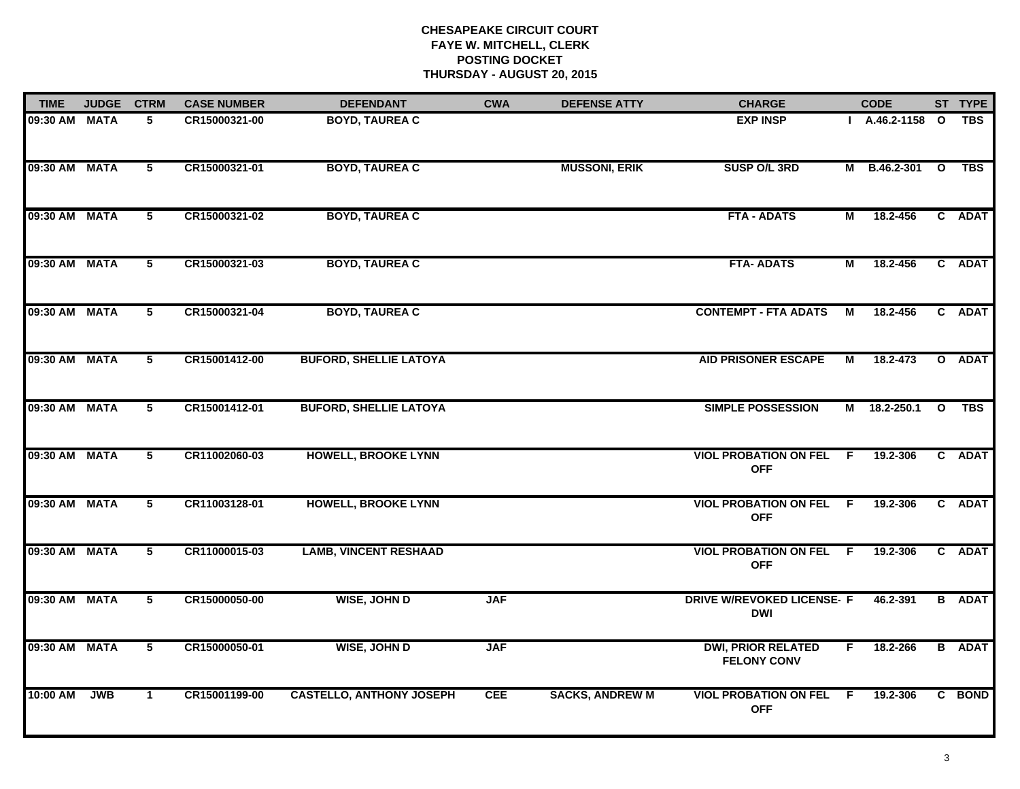| <b>TIME</b>   | <b>JUDGE</b> | <b>CTRM</b>     | <b>CASE NUMBER</b> | <b>DEFENDANT</b>                | <b>CWA</b> | <b>DEFENSE ATTY</b>    | <b>CHARGE</b>                                   |     | <b>CODE</b>       |                         | ST TYPE       |
|---------------|--------------|-----------------|--------------------|---------------------------------|------------|------------------------|-------------------------------------------------|-----|-------------------|-------------------------|---------------|
| 09:30 AM MATA |              | 5               | CR15000321-00      | <b>BOYD, TAUREA C</b>           |            |                        | <b>EXP INSP</b>                                 |     | $I$ A.46.2-1158 O |                         | <b>TBS</b>    |
| 09:30 AM MATA |              | $5\overline{ }$ | CR15000321-01      | <b>BOYD, TAUREA C</b>           |            | <b>MUSSONI, ERIK</b>   | SUSP O/L 3RD                                    |     | M B.46.2-301 O    |                         | <b>TBS</b>    |
| 09:30 AM MATA |              | 5               | CR15000321-02      | <b>BOYD, TAUREA C</b>           |            |                        | <b>FTA - ADATS</b>                              | М   | 18.2-456          |                         | C ADAT        |
| 09:30 AM MATA |              | 5               | CR15000321-03      | <b>BOYD, TAUREA C</b>           |            |                        | <b>FTA-ADATS</b>                                | М   | 18.2-456          |                         | C ADAT        |
| 09:30 AM MATA |              | 5               | CR15000321-04      | <b>BOYD, TAUREA C</b>           |            |                        | <b>CONTEMPT - FTA ADATS</b>                     | М   | 18.2-456          |                         | C ADAT        |
| 09:30 AM MATA |              | $5\overline{ }$ | CR15001412-00      | <b>BUFORD, SHELLIE LATOYA</b>   |            |                        | <b>AID PRISONER ESCAPE</b>                      | M   | 18.2-473          |                         | O ADAT        |
| 09:30 AM MATA |              | 5               | CR15001412-01      | <b>BUFORD, SHELLIE LATOYA</b>   |            |                        | <b>SIMPLE POSSESSION</b>                        |     | M 18.2-250.1      | $\overline{\mathbf{o}}$ | <b>TBS</b>    |
| 09:30 AM MATA |              | 5               | CR11002060-03      | <b>HOWELL, BROOKE LYNN</b>      |            |                        | <b>VIOL PROBATION ON FEL F</b><br><b>OFF</b>    |     | 19.2-306          |                         | C ADAT        |
| 09:30 AM MATA |              | 5               | CR11003128-01      | <b>HOWELL, BROOKE LYNN</b>      |            |                        | <b>VIOL PROBATION ON FEL</b><br><b>OFF</b>      | - F | 19.2-306          |                         | C ADAT        |
| 09:30 AM MATA |              | $5\phantom{.0}$ | CR11000015-03      | <b>LAMB, VINCENT RESHAAD</b>    |            |                        | <b>VIOL PROBATION ON FEL F</b><br><b>OFF</b>    |     | 19.2-306          |                         | C ADAT        |
| 09:30 AM MATA |              | $5\overline{ }$ | CR15000050-00      | <b>WISE, JOHN D</b>             | <b>JAF</b> |                        | <b>DRIVE W/REVOKED LICENSE- F</b><br><b>DWI</b> |     | 46.2-391          |                         | <b>B</b> ADAT |
| 09:30 AM MATA |              | $\overline{5}$  | CR15000050-01      | <b>WISE, JOHN D</b>             | <b>JAF</b> |                        | <b>DWI, PRIOR RELATED</b><br><b>FELONY CONV</b> | F.  | 18.2-266          |                         | <b>B</b> ADAT |
| 10:00 AM      | <b>JWB</b>   | $\mathbf{1}$    | CR15001199-00      | <b>CASTELLO, ANTHONY JOSEPH</b> | <b>CEE</b> | <b>SACKS, ANDREW M</b> | <b>VIOL PROBATION ON FEL</b><br><b>OFF</b>      | F   | 19.2-306          |                         | C BOND        |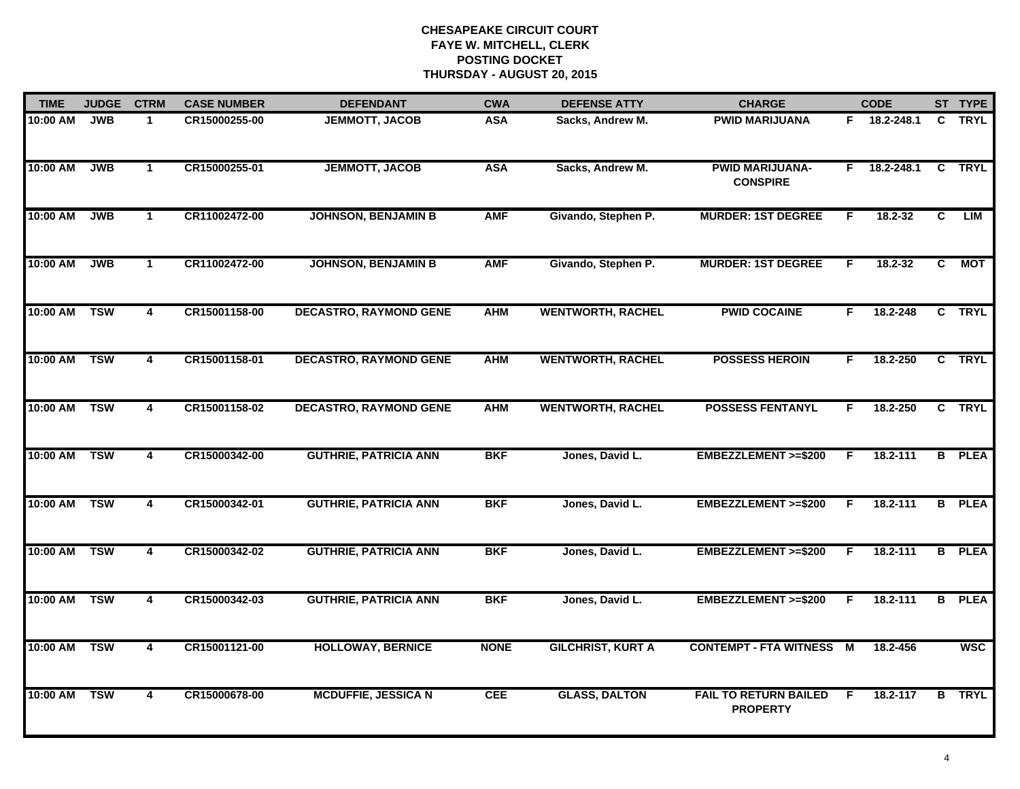| <b>TIME</b>  | <b>JUDGE</b> | <b>CTRM</b>             | <b>CASE NUMBER</b> | <b>DEFENDANT</b>              | <b>CWA</b>  | <b>DEFENSE ATTY</b>      | <b>CHARGE</b>                                   |    | <b>CODE</b>  |                | ST TYPE       |
|--------------|--------------|-------------------------|--------------------|-------------------------------|-------------|--------------------------|-------------------------------------------------|----|--------------|----------------|---------------|
| 10:00 AM     | <b>JWB</b>   | $\mathbf{1}$            | CR15000255-00      | <b>JEMMOTT, JACOB</b>         | <b>ASA</b>  | Sacks, Andrew M.         | <b>PWID MARIJUANA</b>                           |    | F 18.2-248.1 | C.             | <b>TRYL</b>   |
| 10:00 AM     | <b>JWB</b>   | $\mathbf{1}$            | CR15000255-01      | <b>JEMMOTT, JACOB</b>         | <b>ASA</b>  | Sacks, Andrew M.         | <b>PWID MARIJUANA-</b><br><b>CONSPIRE</b>       | F. | 18.2-248.1   | $\mathbf{C}$   | <b>TRYL</b>   |
| 10:00 AM     | <b>JWB</b>   | $\mathbf{1}$            | CR11002472-00      | <b>JOHNSON, BENJAMIN B</b>    | <b>AMF</b>  | Givando, Stephen P.      | <b>MURDER: 1ST DEGREE</b>                       | F. | 18.2-32      | $\overline{c}$ | LIM           |
| 10:00 AM     | <b>JWB</b>   | $\mathbf 1$             | CR11002472-00      | <b>JOHNSON, BENJAMIN B</b>    | <b>AMF</b>  | Givando, Stephen P.      | <b>MURDER: 1ST DEGREE</b>                       | F. | 18.2-32      | C              | <b>MOT</b>    |
| 10:00 AM     | <b>TSW</b>   | 4                       | CR15001158-00      | <b>DECASTRO, RAYMOND GENE</b> | <b>AHM</b>  | <b>WENTWORTH, RACHEL</b> | <b>PWID COCAINE</b>                             | F. | 18.2-248     |                | C TRYL        |
| 10:00 AM TSW |              | 4                       | CR15001158-01      | <b>DECASTRO, RAYMOND GENE</b> | <b>AHM</b>  | <b>WENTWORTH, RACHEL</b> | <b>POSSESS HEROIN</b>                           | F. | 18.2-250     |                | C TRYL        |
| 10:00 AM TSW |              | 4                       | CR15001158-02      | <b>DECASTRO, RAYMOND GENE</b> | <b>AHM</b>  | <b>WENTWORTH, RACHEL</b> | <b>POSSESS FENTANYL</b>                         | F. | 18.2-250     |                | C TRYL        |
| 10:00 AM     | <b>TSW</b>   | 4                       | CR15000342-00      | <b>GUTHRIE, PATRICIA ANN</b>  | <b>BKF</b>  | Jones, David L.          | EMBEZZLEMENT >=\$200                            | F  | 18.2-111     |                | <b>B</b> PLEA |
| 10:00 AM     | <b>TSW</b>   | 4                       | CR15000342-01      | <b>GUTHRIE, PATRICIA ANN</b>  | <b>BKF</b>  | Jones, David L.          | EMBEZZLEMENT >=\$200                            | F  | 18.2-111     |                | <b>B</b> PLEA |
| 10:00 AM     | <b>TSW</b>   | $\overline{\mathbf{4}}$ | CR15000342-02      | <b>GUTHRIE, PATRICIA ANN</b>  | <b>BKF</b>  | Jones, David L.          | EMBEZZLEMENT >=\$200                            | F. | 18.2-111     |                | <b>B</b> PLEA |
| 10:00 AM     | <b>TSW</b>   | 4                       | CR15000342-03      | <b>GUTHRIE, PATRICIA ANN</b>  | <b>BKF</b>  | Jones, David L.          | EMBEZZLEMENT >=\$200                            | F. | 18.2-111     | B              | <b>PLEA</b>   |
| 10:00 AM     | <b>TSW</b>   | 4                       | CR15001121-00      | <b>HOLLOWAY, BERNICE</b>      | <b>NONE</b> | <b>GILCHRIST, KURT A</b> | <b>CONTEMPT - FTA WITNESS</b>                   | M  | 18.2-456     |                | <b>WSC</b>    |
| 10:00 AM     | <b>TSW</b>   | 4                       | CR15000678-00      | <b>MCDUFFIE, JESSICA N</b>    | <b>CEE</b>  | <b>GLASS, DALTON</b>     | <b>FAIL TO RETURN BAILED</b><br><b>PROPERTY</b> | F. | 18.2-117     |                | <b>B</b> TRYL |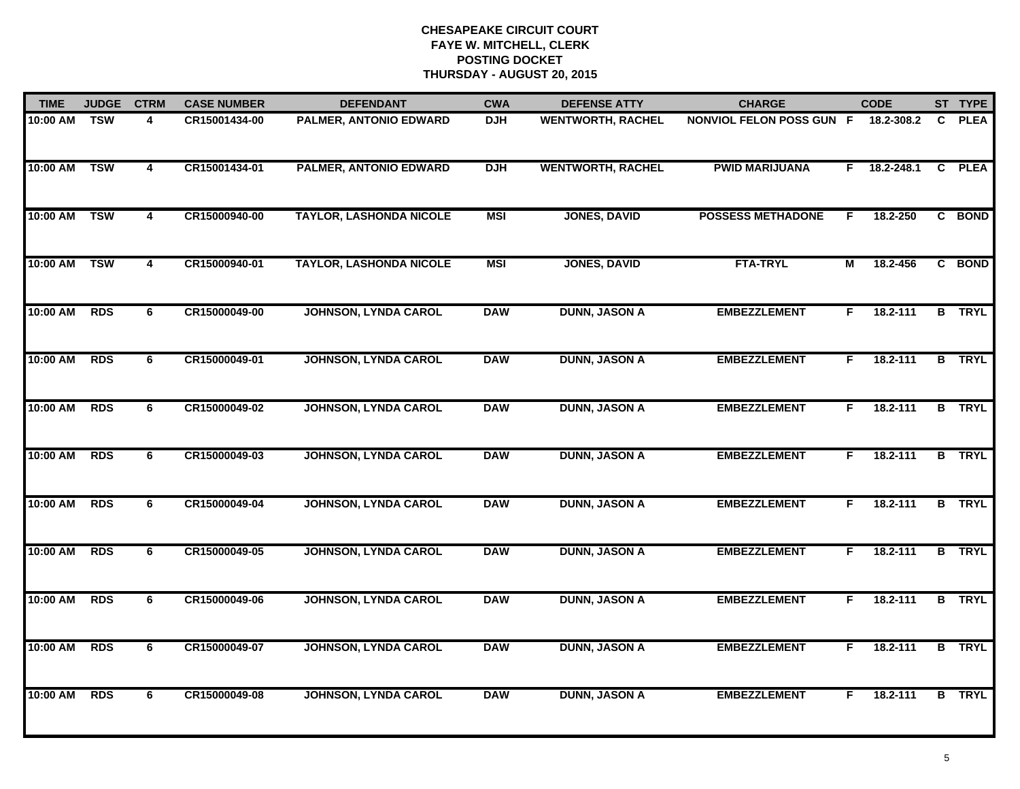| <b>TIME</b> | <b>JUDGE</b> | <b>CTRM</b>    | <b>CASE NUMBER</b> | <b>DEFENDANT</b>               | <b>CWA</b> | <b>DEFENSE ATTY</b>      | <b>CHARGE</b>                   | <b>CODE</b>      |                | ST TYPE       |
|-------------|--------------|----------------|--------------------|--------------------------------|------------|--------------------------|---------------------------------|------------------|----------------|---------------|
| 10:00 AM    | <b>TSW</b>   | 4              | CR15001434-00      | <b>PALMER, ANTONIO EDWARD</b>  | <b>DJH</b> | <b>WENTWORTH, RACHEL</b> | <b>NONVIOL FELON POSS GUN F</b> | 18.2-308.2       | C              | <b>PLEA</b>   |
| 10:00 AM    | <b>TSW</b>   | $\overline{4}$ | CR15001434-01      | <b>PALMER, ANTONIO EDWARD</b>  | <b>DJH</b> | <b>WENTWORTH, RACHEL</b> | <b>PWID MARIJUANA</b>           | 18.2-248.1<br>F. | $\mathbf{c}$   | <b>PLEA</b>   |
| 10:00 AM    | <b>TSW</b>   | 4              | CR15000940-00      | <b>TAYLOR, LASHONDA NICOLE</b> | <b>MSI</b> | <b>JONES, DAVID</b>      | <b>POSSESS METHADONE</b>        | 18.2-250<br>F    |                | C BOND        |
| 10:00 AM    | <b>TSW</b>   | 4              | CR15000940-01      | <b>TAYLOR, LASHONDA NICOLE</b> | <b>MSI</b> | <b>JONES, DAVID</b>      | <b>FTA-TRYL</b>                 | 18.2-456<br>М    |                | C BOND        |
| 10:00 AM    | <b>RDS</b>   | 6              | CR15000049-00      | <b>JOHNSON, LYNDA CAROL</b>    | <b>DAW</b> | <b>DUNN, JASON A</b>     | <b>EMBEZZLEMENT</b>             | 18.2-111<br>F.   |                | <b>B</b> TRYL |
| 10:00 AM    | <b>RDS</b>   | 6              | CR15000049-01      | <b>JOHNSON, LYNDA CAROL</b>    | <b>DAW</b> | <b>DUNN, JASON A</b>     | <b>EMBEZZLEMENT</b>             | 18.2-111<br>F.   |                | <b>B</b> TRYL |
| 10:00 AM    | <b>RDS</b>   | $\overline{6}$ | CR15000049-02      | <b>JOHNSON, LYNDA CAROL</b>    | <b>DAW</b> | <b>DUNN, JASON A</b>     | <b>EMBEZZLEMENT</b>             | 18.2-111<br>F.   | $\overline{B}$ | <b>TRYL</b>   |
| 10:00 AM    | <b>RDS</b>   | 6              | CR15000049-03      | <b>JOHNSON, LYNDA CAROL</b>    | <b>DAW</b> | <b>DUNN, JASON A</b>     | <b>EMBEZZLEMENT</b>             | F<br>18.2-111    |                | <b>B</b> TRYL |
| 10:00 AM    | <b>RDS</b>   | 6              | CR15000049-04      | <b>JOHNSON, LYNDA CAROL</b>    | <b>DAW</b> | <b>DUNN, JASON A</b>     | <b>EMBEZZLEMENT</b>             | 18.2-111<br>F    |                | <b>B</b> TRYL |
| 10:00 AM    | <b>RDS</b>   | 6              | CR15000049-05      | <b>JOHNSON, LYNDA CAROL</b>    | <b>DAW</b> | <b>DUNN, JASON A</b>     | <b>EMBEZZLEMENT</b>             | 18.2-111<br>F.   |                | <b>B</b> TRYL |
| 10:00 AM    | <b>RDS</b>   | 6              | CR15000049-06      | <b>JOHNSON, LYNDA CAROL</b>    | <b>DAW</b> | <b>DUNN, JASON A</b>     | <b>EMBEZZLEMENT</b>             | 18.2-111<br>F.   |                | <b>B</b> TRYL |
| 10:00 AM    | <b>RDS</b>   | $\overline{6}$ | CR15000049-07      | <b>JOHNSON, LYNDA CAROL</b>    | <b>DAW</b> | <b>DUNN, JASON A</b>     | <b>EMBEZZLEMENT</b>             | 18.2-111<br>F.   |                | <b>B</b> TRYL |
| 10:00 AM    | <b>RDS</b>   | 6              | CR15000049-08      | <b>JOHNSON, LYNDA CAROL</b>    | <b>DAW</b> | <b>DUNN, JASON A</b>     | <b>EMBEZZLEMENT</b>             | 18.2-111<br>F.   |                | <b>B</b> TRYL |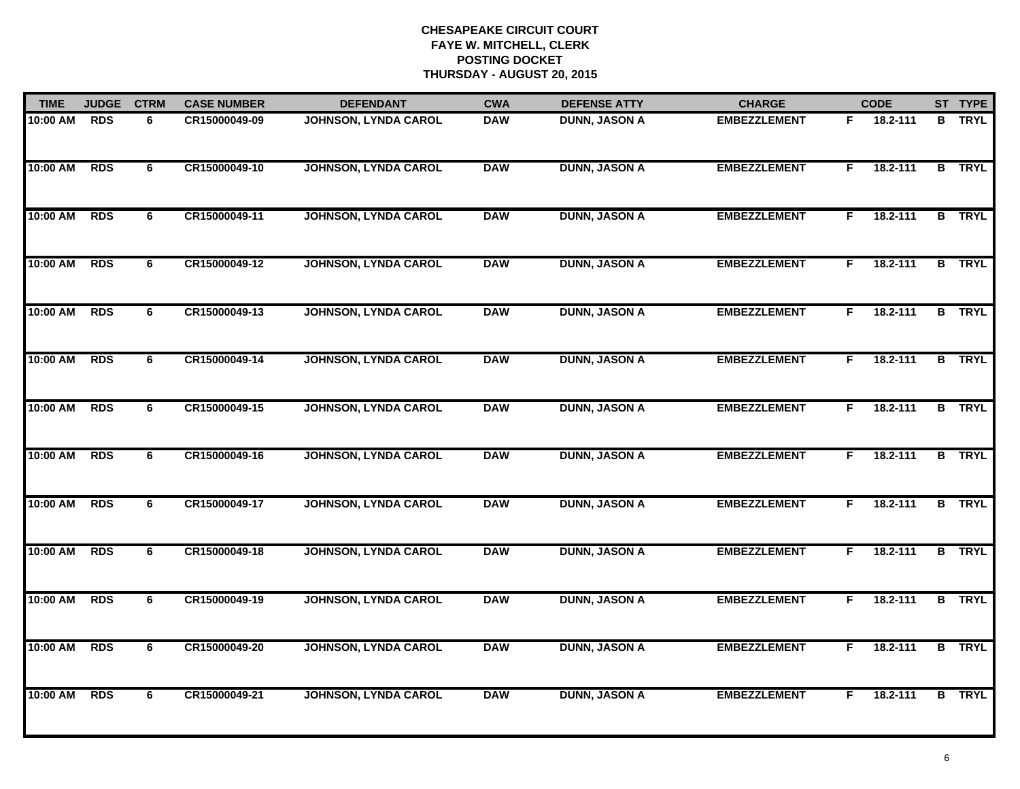| <b>TIME</b> | <b>JUDGE</b> | <b>CTRM</b> | <b>CASE NUMBER</b> | <b>DEFENDANT</b>            | <b>CWA</b> | <b>DEFENSE ATTY</b>  | <b>CHARGE</b>       | <b>CODE</b>    | ST TYPE       |
|-------------|--------------|-------------|--------------------|-----------------------------|------------|----------------------|---------------------|----------------|---------------|
| 10:00 AM    | <b>RDS</b>   | 6           | CR15000049-09      | <b>JOHNSON, LYNDA CAROL</b> | <b>DAW</b> | <b>DUNN, JASON A</b> | <b>EMBEZZLEMENT</b> | 18.2-111<br>F. | <b>B</b> TRYL |
| 10:00 AM    | <b>RDS</b>   | 6           | CR15000049-10      | <b>JOHNSON, LYNDA CAROL</b> | <b>DAW</b> | <b>DUNN, JASON A</b> | <b>EMBEZZLEMENT</b> | 18.2-111<br>F. | <b>B</b> TRYL |
| 10:00 AM    | <b>RDS</b>   | 6           | CR15000049-11      | <b>JOHNSON, LYNDA CAROL</b> | <b>DAW</b> | <b>DUNN, JASON A</b> | <b>EMBEZZLEMENT</b> | 18.2-111<br>F. | <b>B</b> TRYL |
| 10:00 AM    | <b>RDS</b>   | 6           | CR15000049-12      | <b>JOHNSON, LYNDA CAROL</b> | <b>DAW</b> | <b>DUNN, JASON A</b> | <b>EMBEZZLEMENT</b> | 18.2-111<br>F. | <b>B</b> TRYL |
| 10:00 AM    | <b>RDS</b>   | 6           | CR15000049-13      | <b>JOHNSON, LYNDA CAROL</b> | <b>DAW</b> | <b>DUNN, JASON A</b> | <b>EMBEZZLEMENT</b> | 18.2-111<br>F. | <b>B</b> TRYL |
| 10:00 AM    | <b>RDS</b>   | 6           | CR15000049-14      | <b>JOHNSON, LYNDA CAROL</b> | <b>DAW</b> | <b>DUNN, JASON A</b> | <b>EMBEZZLEMENT</b> | 18.2-111<br>F. | <b>B</b> TRYL |
| 10:00 AM    | <b>RDS</b>   | 6           | CR15000049-15      | <b>JOHNSON, LYNDA CAROL</b> | <b>DAW</b> | <b>DUNN, JASON A</b> | <b>EMBEZZLEMENT</b> | 18.2-111<br>F. | <b>B</b> TRYL |
| 10:00 AM    | <b>RDS</b>   | 6           | CR15000049-16      | <b>JOHNSON, LYNDA CAROL</b> | <b>DAW</b> | <b>DUNN, JASON A</b> | <b>EMBEZZLEMENT</b> | 18.2-111<br>F. | <b>B</b> TRYL |
| 10:00 AM    | <b>RDS</b>   | 6           | CR15000049-17      | <b>JOHNSON, LYNDA CAROL</b> | <b>DAW</b> | <b>DUNN, JASON A</b> | <b>EMBEZZLEMENT</b> | 18.2-111<br>F. | <b>B</b> TRYL |
| 10:00 AM    | <b>RDS</b>   | 6           | CR15000049-18      | <b>JOHNSON, LYNDA CAROL</b> | <b>DAW</b> | <b>DUNN, JASON A</b> | <b>EMBEZZLEMENT</b> | 18.2-111<br>F. | <b>B</b> TRYL |
| 10:00 AM    | <b>RDS</b>   | 6           | CR15000049-19      | <b>JOHNSON, LYNDA CAROL</b> | <b>DAW</b> | <b>DUNN, JASON A</b> | <b>EMBEZZLEMENT</b> | 18.2-111<br>F. | <b>B</b> TRYL |
| 10:00 AM    | <b>RDS</b>   | 6           | CR15000049-20      | <b>JOHNSON, LYNDA CAROL</b> | <b>DAW</b> | <b>DUNN, JASON A</b> | <b>EMBEZZLEMENT</b> | 18.2-111<br>F. | <b>B</b> TRYL |
| 10:00 AM    | <b>RDS</b>   | 6           | CR15000049-21      | <b>JOHNSON, LYNDA CAROL</b> | <b>DAW</b> | <b>DUNN, JASON A</b> | <b>EMBEZZLEMENT</b> | 18.2-111<br>F. | <b>B</b> TRYL |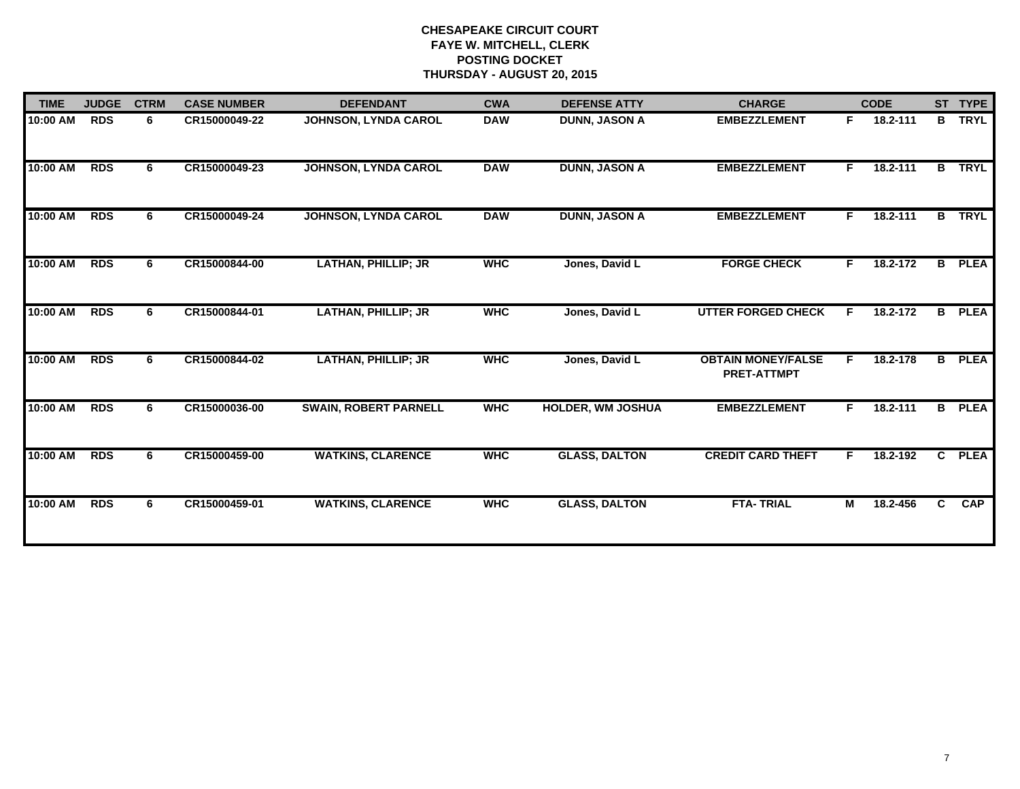| <b>JUDGE</b> | <b>CTRM</b> | <b>CASE NUMBER</b> | <b>DEFENDANT</b>             | <b>CWA</b> | <b>DEFENSE ATTY</b>      | <b>CHARGE</b>                                   |                | <b>CODE</b> |   | ST TYPE                                                           |
|--------------|-------------|--------------------|------------------------------|------------|--------------------------|-------------------------------------------------|----------------|-------------|---|-------------------------------------------------------------------|
| <b>RDS</b>   | 6           | CR15000049-22      | JOHNSON, LYNDA CAROL         | <b>DAW</b> | <b>DUNN, JASON A</b>     | <b>EMBEZZLEMENT</b>                             | F.             | 18.2-111    |   | <b>TRYL</b>                                                       |
| <b>RDS</b>   | 6           | CR15000049-23      | <b>JOHNSON, LYNDA CAROL</b>  | <b>DAW</b> | <b>DUNN, JASON A</b>     | <b>EMBEZZLEMENT</b>                             | F.             | 18.2-111    |   | <b>TRYL</b>                                                       |
| <b>RDS</b>   | 6           | CR15000049-24      | <b>JOHNSON, LYNDA CAROL</b>  | <b>DAW</b> | <b>DUNN, JASON A</b>     | <b>EMBEZZLEMENT</b>                             | F.             | 18.2-111    |   | <b>B</b> TRYL                                                     |
| <b>RDS</b>   | 6           | CR15000844-00      | <b>LATHAN, PHILLIP; JR</b>   | <b>WHC</b> | Jones, David L           | <b>FORGE CHECK</b>                              | F.             | 18.2-172    |   | <b>PLEA</b>                                                       |
| <b>RDS</b>   | 6           | CR15000844-01      | <b>LATHAN, PHILLIP; JR</b>   | <b>WHC</b> | Jones, David L           | <b>UTTER FORGED CHECK</b>                       | F.             | 18.2-172    |   | <b>PLEA</b>                                                       |
| <b>RDS</b>   | 6           | CR15000844-02      | <b>LATHAN, PHILLIP; JR</b>   | <b>WHC</b> | Jones, David L           | <b>OBTAIN MONEY/FALSE</b><br><b>PRET-ATTMPT</b> | F.             | 18.2-178    |   | <b>PLEA</b>                                                       |
| <b>RDS</b>   | 6           | CR15000036-00      | <b>SWAIN, ROBERT PARNELL</b> | <b>WHC</b> | <b>HOLDER, WM JOSHUA</b> | <b>EMBEZZLEMENT</b>                             | $\overline{F}$ | 18.2-111    |   | <b>B</b> PLEA                                                     |
| <b>RDS</b>   | 6           | CR15000459-00      | <b>WATKINS, CLARENCE</b>     | <b>WHC</b> | <b>GLASS, DALTON</b>     | <b>CREDIT CARD THEFT</b>                        | F.             | 18.2-192    |   | <b>PLEA</b>                                                       |
| <b>RDS</b>   | 6           | CR15000459-01      | <b>WATKINS, CLARENCE</b>     | <b>WHC</b> | <b>GLASS, DALTON</b>     | <b>FTA-TRIAL</b>                                | M              | 18.2-456    | C | <b>CAP</b>                                                        |
|              |             |                    |                              |            |                          |                                                 |                |             |   | B<br>$\overline{B}$<br>B<br>B<br>$\overline{B}$<br>$\overline{c}$ |